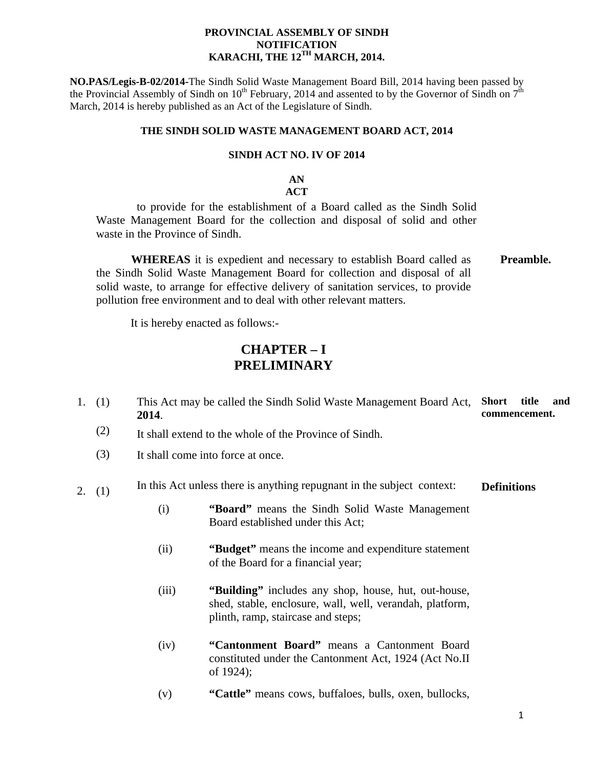### **PROVINCIAL ASSEMBLY OF SINDH NOTIFICATION KARACHI, THE 12TH MARCH, 2014.**

**NO.PAS/Legis-B-02/2014-**The Sindh Solid Waste Management Board Bill, 2014 having been passed by the Provincial Assembly of Sindh on  $10^{th}$  February, 2014 and assented to by the Governor of Sindh on  $7^{th}$ March, 2014 is hereby published as an Act of the Legislature of Sindh.

### **THE SINDH SOLID WASTE MANAGEMENT BOARD ACT, 2014**

### **SINDH ACT NO. IV OF 2014**

# **AN**

## **ACT**

 to provide for the establishment of a Board called as the Sindh Solid Waste Management Board for the collection and disposal of solid and other waste in the Province of Sindh.

 **WHEREAS** it is expedient and necessary to establish Board called as the Sindh Solid Waste Management Board for collection and disposal of all solid waste, to arrange for effective delivery of sanitation services, to provide pollution free environment and to deal with other relevant matters. **Preamble.**

It is hereby enacted as follows:-

## **CHAPTER – I PRELIMINARY**

- 1. (1) This Act may be called the Sindh Solid Waste Management Board Act, **2014**. **Short title and commencement.**
	- (2) It shall extend to the whole of the Province of Sindh.
	- (3) It shall come into force at once.

#### 2. (1) In this Act unless there is anything repugnant in the subject context: **Definitions**

- (i) **"Board"** means the Sindh Solid Waste Management Board established under this Act;
- (ii) **"Budget"** means the income and expenditure statement of the Board for a financial year;
- (iii) **"Building"** includes any shop, house, hut, out-house, shed, stable, enclosure, wall, well, verandah, platform, plinth, ramp, staircase and steps;
- (iv) **"Cantonment Board"** means a Cantonment Board constituted under the Cantonment Act, 1924 (Act No.II of 1924);
- (v) **"Cattle"** means cows, buffaloes, bulls, oxen, bullocks,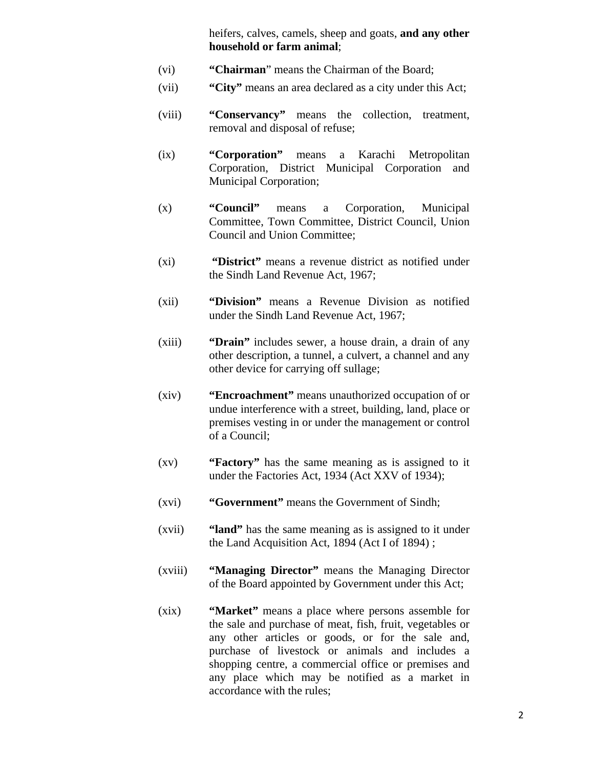heifers, calves, camels, sheep and goats, **and any other household or farm animal**;

- (vi) **"Chairman**" means the Chairman of the Board;
- (vii) **"City"** means an area declared as a city under this Act;
- (viii) **"Conservancy"** means the collection, treatment, removal and disposal of refuse;
- (ix) **"Corporation"** means a Karachi Metropolitan Corporation, District Municipal Corporation and Municipal Corporation;
- (x) **"Council"** means a Corporation, Municipal Committee, Town Committee, District Council, Union Council and Union Committee;
- (xi) **"District"** means a revenue district as notified under the Sindh Land Revenue Act, 1967;
- (xii) **"Division"** means a Revenue Division as notified under the Sindh Land Revenue Act, 1967;
- (xiii) **"Drain"** includes sewer, a house drain, a drain of any other description, a tunnel, a culvert, a channel and any other device for carrying off sullage;
- (xiv) **"Encroachment"** means unauthorized occupation of or undue interference with a street, building, land, place or premises vesting in or under the management or control of a Council;
- (xv) **"Factory"** has the same meaning as is assigned to it under the Factories Act, 1934 (Act XXV of 1934);
- (xvi) **"Government"** means the Government of Sindh;
- (xvii) **"land"** has the same meaning as is assigned to it under the Land Acquisition Act, 1894 (Act I of 1894) ;
- (xviii) **"Managing Director"** means the Managing Director of the Board appointed by Government under this Act;
- (xix) **"Market"** means a place where persons assemble for the sale and purchase of meat, fish, fruit, vegetables or any other articles or goods, or for the sale and, purchase of livestock or animals and includes a shopping centre, a commercial office or premises and any place which may be notified as a market in accordance with the rules;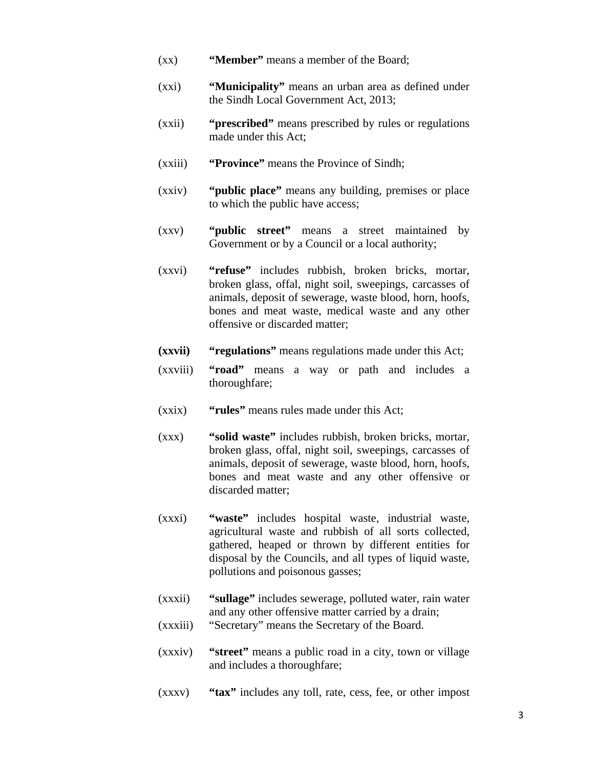- (xx) **"Member"** means a member of the Board;
- (xxi) **"Municipality"** means an urban area as defined under the Sindh Local Government Act, 2013;
- (xxii) **"prescribed"** means prescribed by rules or regulations made under this Act;
- (xxiii) **"Province"** means the Province of Sindh;
- (xxiv) **"public place"** means any building, premises or place to which the public have access;
- (xxv) **"public street"** means a street maintained by Government or by a Council or a local authority;
- (xxvi) **"refuse"** includes rubbish, broken bricks, mortar, broken glass, offal, night soil, sweepings, carcasses of animals, deposit of sewerage, waste blood, horn, hoofs, bones and meat waste, medical waste and any other offensive or discarded matter;
- **(xxvii) "regulations"** means regulations made under this Act;
- (xxviii) **"road"** means a way or path and includes a thoroughfare;
- (xxix) **"rules"** means rules made under this Act;
- (xxx) **"solid waste"** includes rubbish, broken bricks, mortar, broken glass, offal, night soil, sweepings, carcasses of animals, deposit of sewerage, waste blood, horn, hoofs, bones and meat waste and any other offensive or discarded matter;
- (xxxi) **"waste"** includes hospital waste, industrial waste, agricultural waste and rubbish of all sorts collected, gathered, heaped or thrown by different entities for disposal by the Councils, and all types of liquid waste, pollutions and poisonous gasses;
- (xxxii) **"sullage"** includes sewerage, polluted water, rain water and any other offensive matter carried by a drain;
- (xxxiii) "Secretary" means the Secretary of the Board.
- (xxxiv) **"street"** means a public road in a city, town or village and includes a thoroughfare;
- (xxxv) **"tax"** includes any toll, rate, cess, fee, or other impost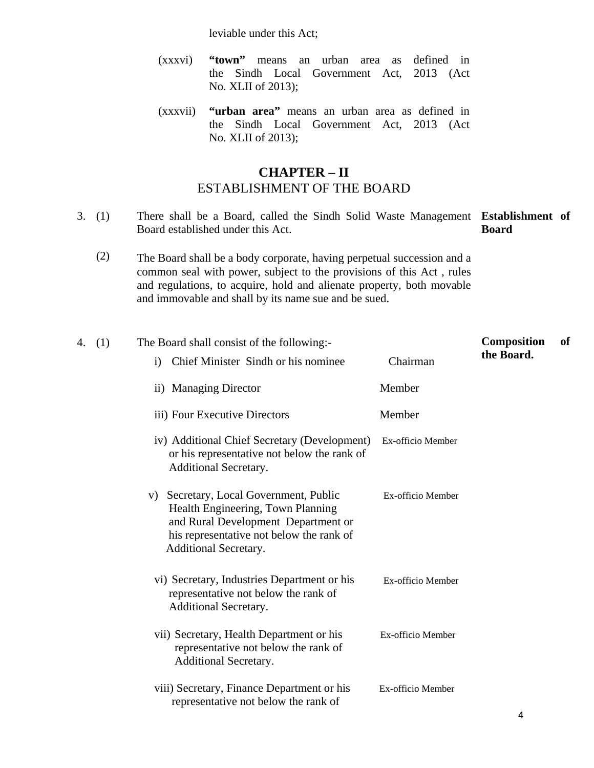leviable under this Act;

- (xxxvi) **"town"** means an urban area as defined in the Sindh Local Government Act, 2013 (Act No. XLII of 2013);
- (xxxvii) **"urban area"** means an urban area as defined in the Sindh Local Government Act, 2013 (Act No. XLII of 2013);

# **CHAPTER – II**  ESTABLISHMENT OF THE BOARD

- 3. (1) There shall be a Board, called the Sindh Solid Waste Management **Establishment of**  Board established under this Act. **Board** 
	- (2) The Board shall be a body corporate, having perpetual succession and a common seal with power, subject to the provisions of this Act , rules and regulations, to acquire, hold and alienate property, both movable and immovable and shall by its name sue and be sued.

| 4. | (1) | The Board shall consist of the following:-                                                                                                                                                     |                   | <b>Composition</b> | of |
|----|-----|------------------------------------------------------------------------------------------------------------------------------------------------------------------------------------------------|-------------------|--------------------|----|
|    |     | Chief Minister Sindh or his nominee<br>$\mathbf{i}$                                                                                                                                            | Chairman          | the Board.         |    |
|    |     | ii) Managing Director                                                                                                                                                                          | Member            |                    |    |
|    |     | iii) Four Executive Directors                                                                                                                                                                  | Member            |                    |    |
|    |     | iv) Additional Chief Secretary (Development)<br>or his representative not below the rank of<br>Additional Secretary.                                                                           | Ex-officio Member |                    |    |
|    |     | v) Secretary, Local Government, Public<br>Health Engineering, Town Planning<br>and Rural Development Department or<br>his representative not below the rank of<br><b>Additional Secretary.</b> | Ex-officio Member |                    |    |
|    |     | vi) Secretary, Industries Department or his<br>representative not below the rank of<br>Additional Secretary.                                                                                   | Ex-officio Member |                    |    |
|    |     | vii) Secretary, Health Department or his<br>representative not below the rank of<br>Additional Secretary.                                                                                      | Ex-officio Member |                    |    |
|    |     | viii) Secretary, Finance Department or his<br>representative not below the rank of                                                                                                             | Ex-officio Member |                    |    |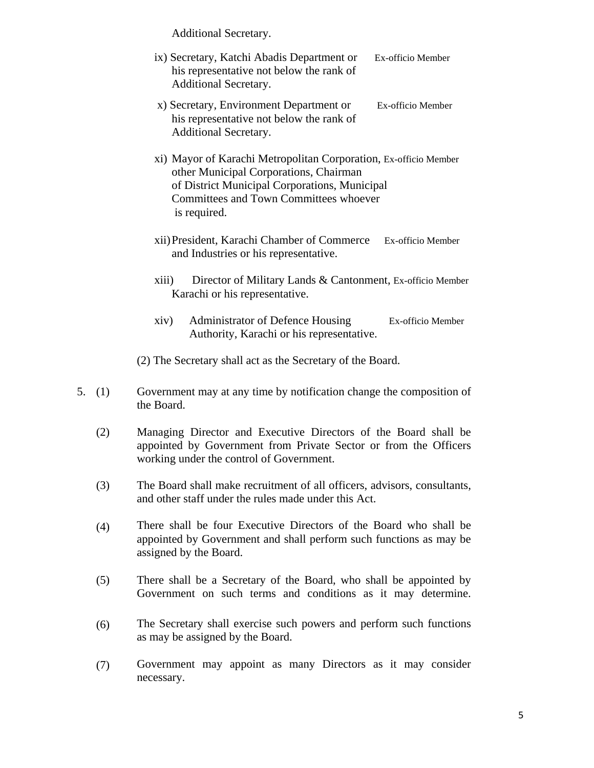Additional Secretary.

- ix) Secretary, Katchi Abadis Department or Ex-officio Member his representative not below the rank of Additional Secretary.
- x) Secretary, Environment Department or Ex-officio Member his representative not below the rank of Additional Secretary.
- xi) Mayor of Karachi Metropolitan Corporation, Ex-officio Member other Municipal Corporations, Chairman of District Municipal Corporations, Municipal Committees and Town Committees whoever is required.
- xii)President, Karachi Chamber of Commerce Ex-officio Member and Industries or his representative.
- xiii) Director of Military Lands & Cantonment, Ex-officio Member Karachi or his representative.
- xiv) Administrator of Defence Housing Ex-officio Member Authority, Karachi or his representative.

(2) The Secretary shall act as the Secretary of the Board.

- 5. (1) Government may at any time by notification change the composition of the Board.
	- (2) Managing Director and Executive Directors of the Board shall be appointed by Government from Private Sector or from the Officers working under the control of Government.
	- (3) The Board shall make recruitment of all officers, advisors, consultants, and other staff under the rules made under this Act.
	- (4) There shall be four Executive Directors of the Board who shall be appointed by Government and shall perform such functions as may be assigned by the Board.
	- (5) There shall be a Secretary of the Board, who shall be appointed by Government on such terms and conditions as it may determine.
	- (6) The Secretary shall exercise such powers and perform such functions as may be assigned by the Board.
	- (7) Government may appoint as many Directors as it may consider necessary.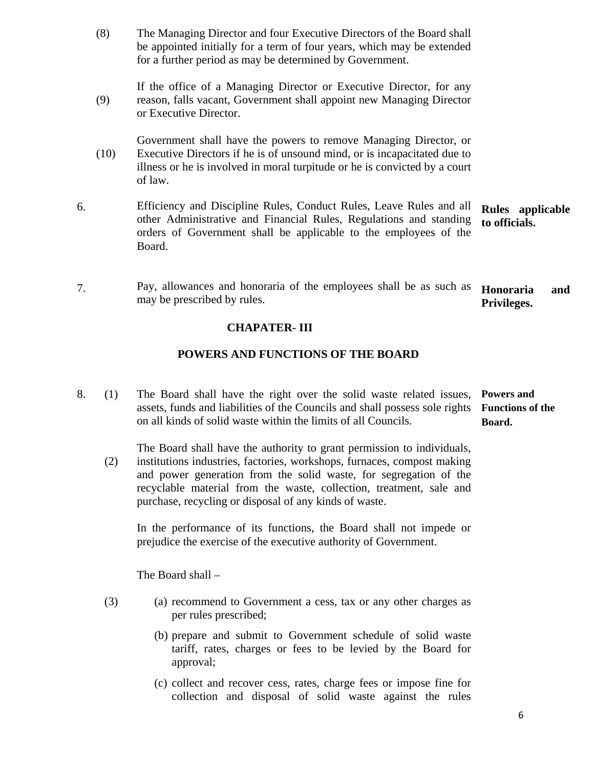(8) The Managing Director and four Executive Directors of the Board shall be appointed initially for a term of four years, which may be extended for a further period as may be determined by Government.

(9) If the office of a Managing Director or Executive Director, for any reason, falls vacant, Government shall appoint new Managing Director or Executive Director.

(10) Government shall have the powers to remove Managing Director, or Executive Directors if he is of unsound mind, or is incapacitated due to illness or he is involved in moral turpitude or he is convicted by a court of law.

- 6. Efficiency and Discipline Rules, Conduct Rules, Leave Rules and all other Administrative and Financial Rules, Regulations and standing orders of Government shall be applicable to the employees of the Board. **Rules applicable to officials.**
- 7. Pay, allowances and honoraria of the employees shall be as such as may be prescribed by rules. **Honoraria and Privileges.**

## **CHAPATER- III**

## **POWERS AND FUNCTIONS OF THE BOARD**

8. (1) The Board shall have the right over the solid waste related issues, assets, funds and liabilities of the Councils and shall possess sole rights **Functions of the**  on all kinds of solid waste within the limits of all Councils. **Powers and Board.** 

The Board shall have the authority to grant permission to individuals,

(2) institutions industries, factories, workshops, furnaces, compost making and power generation from the solid waste, for segregation of the recyclable material from the waste, collection, treatment, sale and purchase, recycling or disposal of any kinds of waste.

In the performance of its functions, the Board shall not impede or prejudice the exercise of the executive authority of Government.

The Board shall –

- (3) (a) recommend to Government a cess, tax or any other charges as per rules prescribed;
	- (b) prepare and submit to Government schedule of solid waste tariff, rates, charges or fees to be levied by the Board for approval;
	- (c) collect and recover cess, rates, charge fees or impose fine for collection and disposal of solid waste against the rules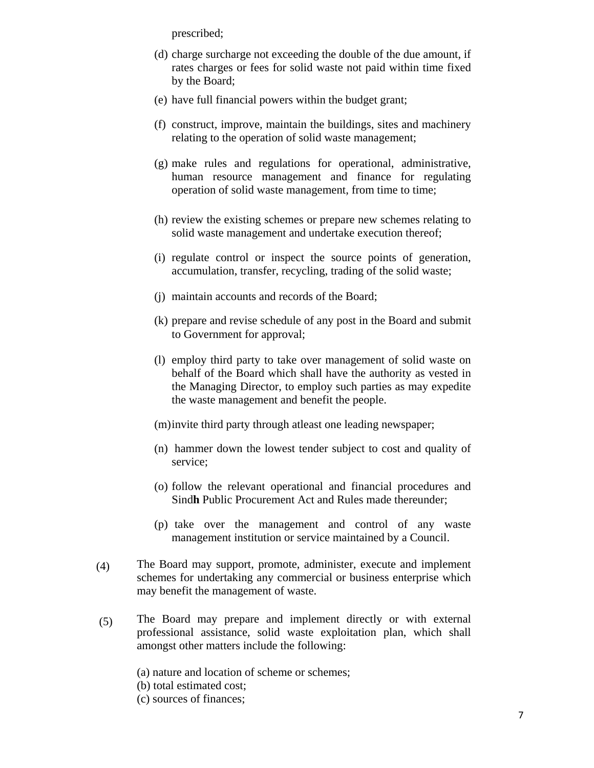prescribed;

- (d) charge surcharge not exceeding the double of the due amount, if rates charges or fees for solid waste not paid within time fixed by the Board;
- (e) have full financial powers within the budget grant;
- (f) construct, improve, maintain the buildings, sites and machinery relating to the operation of solid waste management;
- (g) make rules and regulations for operational, administrative, human resource management and finance for regulating operation of solid waste management, from time to time;
- (h) review the existing schemes or prepare new schemes relating to solid waste management and undertake execution thereof;
- (i) regulate control or inspect the source points of generation, accumulation, transfer, recycling, trading of the solid waste;
- (j) maintain accounts and records of the Board;
- (k) prepare and revise schedule of any post in the Board and submit to Government for approval;
- (l) employ third party to take over management of solid waste on behalf of the Board which shall have the authority as vested in the Managing Director, to employ such parties as may expedite the waste management and benefit the people.
- (m)invite third party through atleast one leading newspaper;
- (n) hammer down the lowest tender subject to cost and quality of service;
- (o) follow the relevant operational and financial procedures and Sind**h** Public Procurement Act and Rules made thereunder;
- (p) take over the management and control of any waste management institution or service maintained by a Council.
- (4) The Board may support, promote, administer, execute and implement schemes for undertaking any commercial or business enterprise which may benefit the management of waste.
- (5) The Board may prepare and implement directly or with external professional assistance, solid waste exploitation plan, which shall amongst other matters include the following:

(a) nature and location of scheme or schemes; (b) total estimated cost; (c) sources of finances;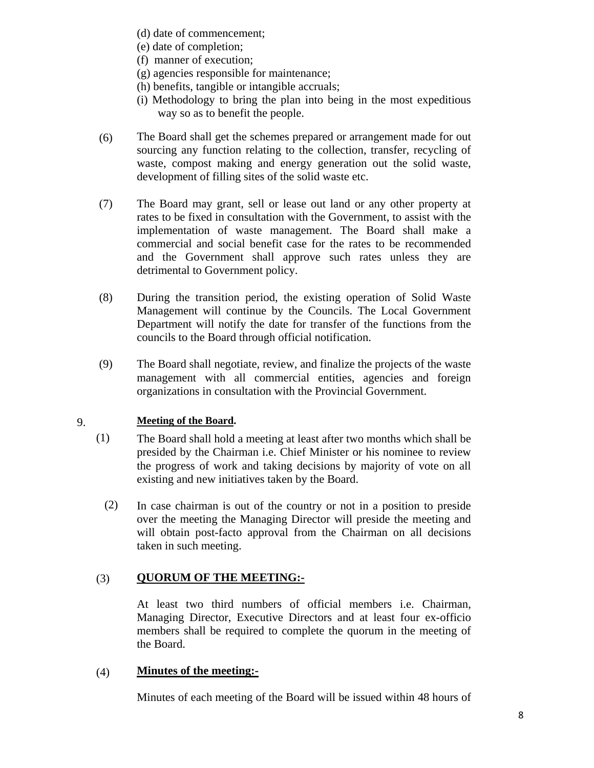- (d) date of commencement;
- (e) date of completion;
- (f) manner of execution;
- (g) agencies responsible for maintenance;
- (h) benefits, tangible or intangible accruals;
- (i) Methodology to bring the plan into being in the most expeditious way so as to benefit the people.
- (6) The Board shall get the schemes prepared or arrangement made for out sourcing any function relating to the collection, transfer, recycling of waste, compost making and energy generation out the solid waste, development of filling sites of the solid waste etc.
- (7) The Board may grant, sell or lease out land or any other property at rates to be fixed in consultation with the Government, to assist with the implementation of waste management. The Board shall make a commercial and social benefit case for the rates to be recommended and the Government shall approve such rates unless they are detrimental to Government policy.
- (8) During the transition period, the existing operation of Solid Waste Management will continue by the Councils. The Local Government Department will notify the date for transfer of the functions from the councils to the Board through official notification.
- (9) The Board shall negotiate, review, and finalize the projects of the waste management with all commercial entities, agencies and foreign organizations in consultation with the Provincial Government.

#### 9. **Meeting of the Board.**

- (1) The Board shall hold a meeting at least after two months which shall be presided by the Chairman i.e. Chief Minister or his nominee to review the progress of work and taking decisions by majority of vote on all existing and new initiatives taken by the Board.
	- (2) In case chairman is out of the country or not in a position to preside over the meeting the Managing Director will preside the meeting and will obtain post-facto approval from the Chairman on all decisions taken in such meeting.

#### (3) **QUORUM OF THE MEETING:-**

At least two third numbers of official members i.e. Chairman, Managing Director, Executive Directors and at least four ex-officio members shall be required to complete the quorum in the meeting of the Board.

#### (4) **Minutes of the meeting:-**

Minutes of each meeting of the Board will be issued within 48 hours of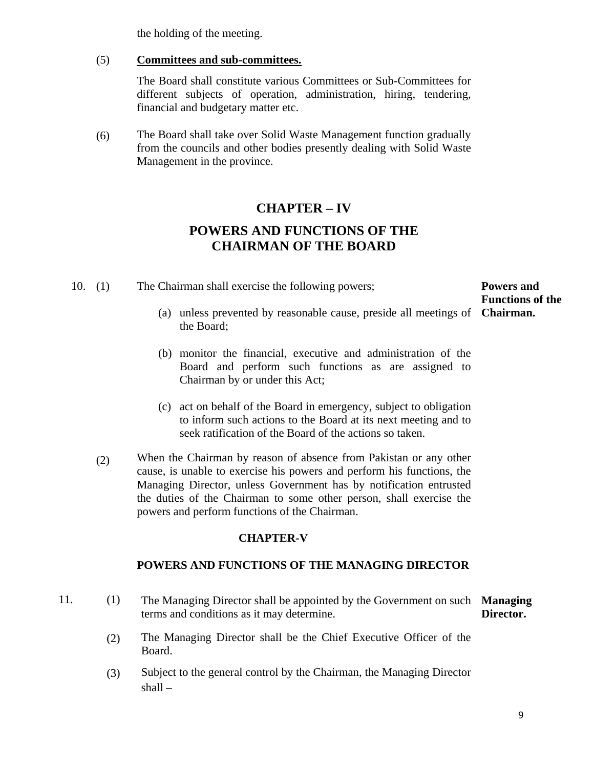the holding of the meeting.

(5) **Committees and sub-committees.**

> The Board shall constitute various Committees or Sub-Committees for different subjects of operation, administration, hiring, tendering, financial and budgetary matter etc.

(6) The Board shall take over Solid Waste Management function gradually from the councils and other bodies presently dealing with Solid Waste Management in the province.

# **CHAPTER – IV POWERS AND FUNCTIONS OF THE CHAIRMAN OF THE BOARD**

- 10. (1) The Chairman shall exercise the following powers; **Powers and Functions of the** 
	- (a) unless prevented by reasonable cause, preside all meetings of **Chairman.**  the Board;
	- (b) monitor the financial, executive and administration of the Board and perform such functions as are assigned to Chairman by or under this Act;
	- (c) act on behalf of the Board in emergency, subject to obligation to inform such actions to the Board at its next meeting and to seek ratification of the Board of the actions so taken.
	- (2) When the Chairman by reason of absence from Pakistan or any other cause, is unable to exercise his powers and perform his functions, the Managing Director, unless Government has by notification entrusted the duties of the Chairman to some other person, shall exercise the powers and perform functions of the Chairman.

## **CHAPTER-V**

## **POWERS AND FUNCTIONS OF THE MANAGING DIRECTOR**

- 11. (1) The Managing Director shall be appointed by the Government on such **Managing**  terms and conditions as it may determine. **Director.** 
	- (2) The Managing Director shall be the Chief Executive Officer of the Board.
	- (3) Subject to the general control by the Chairman, the Managing Director shall –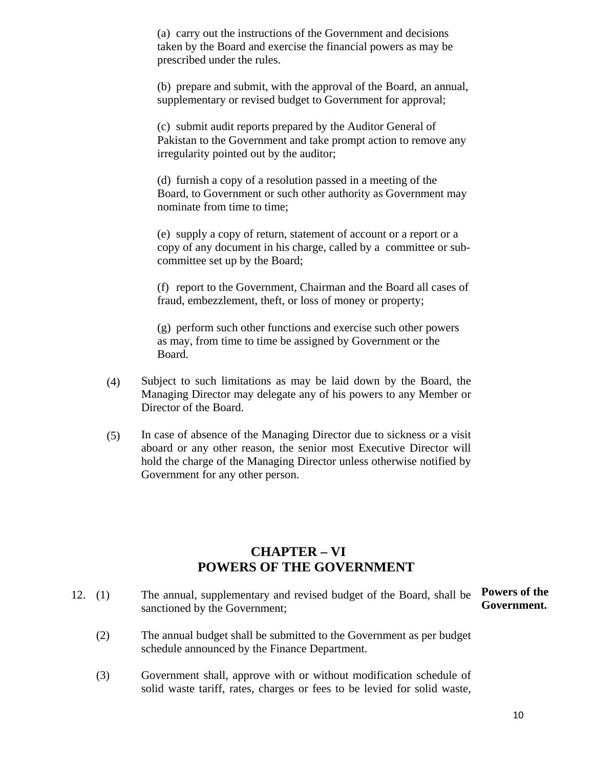(a) carry out the instructions of the Government and decisions taken by the Board and exercise the financial powers as may be prescribed under the rules.

(b) prepare and submit, with the approval of the Board, an annual, supplementary or revised budget to Government for approval;

(c) submit audit reports prepared by the Auditor General of Pakistan to the Government and take prompt action to remove any irregularity pointed out by the auditor;

(d) furnish a copy of a resolution passed in a meeting of the Board, to Government or such other authority as Government may nominate from time to time;

(e) supply a copy of return, statement of account or a report or a copy of any document in his charge, called by a committee or subcommittee set up by the Board;

(f) report to the Government, Chairman and the Board all cases of fraud, embezzlement, theft, or loss of money or property;

(g) perform such other functions and exercise such other powers as may, from time to time be assigned by Government or the Board.

- (4) Subject to such limitations as may be laid down by the Board, the Managing Director may delegate any of his powers to any Member or Director of the Board.
- (5) In case of absence of the Managing Director due to sickness or a visit aboard or any other reason, the senior most Executive Director will hold the charge of the Managing Director unless otherwise notified by Government for any other person.

## **CHAPTER – VI POWERS OF THE GOVERNMENT**

- 12. (1) The annual, supplementary and revised budget of the Board, shall be sanctioned by the Government; **Powers of the Government.**
	- (2) The annual budget shall be submitted to the Government as per budget schedule announced by the Finance Department.
	- (3) Government shall, approve with or without modification schedule of solid waste tariff, rates, charges or fees to be levied for solid waste,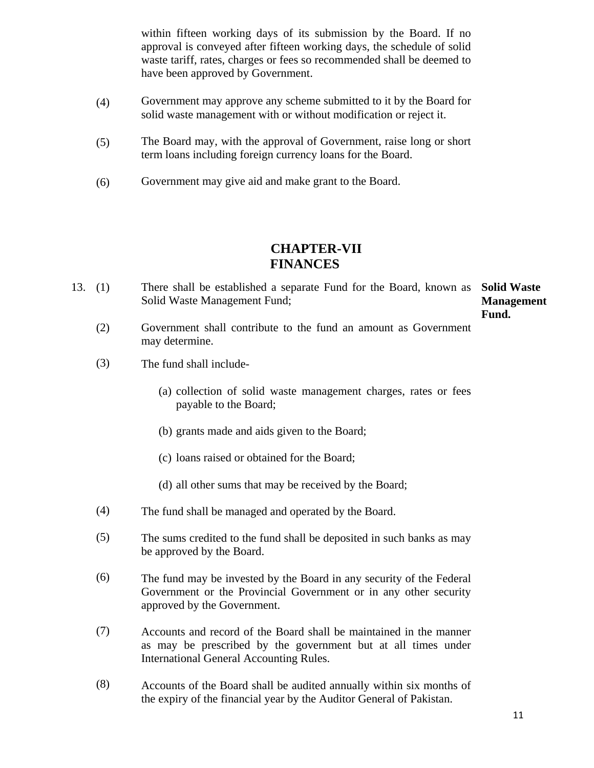within fifteen working days of its submission by the Board. If no approval is conveyed after fifteen working days, the schedule of solid waste tariff, rates, charges or fees so recommended shall be deemed to have been approved by Government.

- (4) Government may approve any scheme submitted to it by the Board for solid waste management with or without modification or reject it.
- (5) The Board may, with the approval of Government, raise long or short term loans including foreign currency loans for the Board.
- (6) Government may give aid and make grant to the Board.

## **CHAPTER-VII FINANCES**

13. (1) There shall be established a separate Fund for the Board, known as **Solid Waste**  Solid Waste Management Fund;

**Management Fund.** 

- (2) Government shall contribute to the fund an amount as Government may determine.
- (3) The fund shall include-
	- (a) collection of solid waste management charges, rates or fees payable to the Board;
	- (b) grants made and aids given to the Board;
	- (c) loans raised or obtained for the Board;
	- (d) all other sums that may be received by the Board;
- (4) The fund shall be managed and operated by the Board.
- (5) The sums credited to the fund shall be deposited in such banks as may be approved by the Board.
- (6) The fund may be invested by the Board in any security of the Federal Government or the Provincial Government or in any other security approved by the Government.
- (7) Accounts and record of the Board shall be maintained in the manner as may be prescribed by the government but at all times under International General Accounting Rules.
- (8) Accounts of the Board shall be audited annually within six months of the expiry of the financial year by the Auditor General of Pakistan.